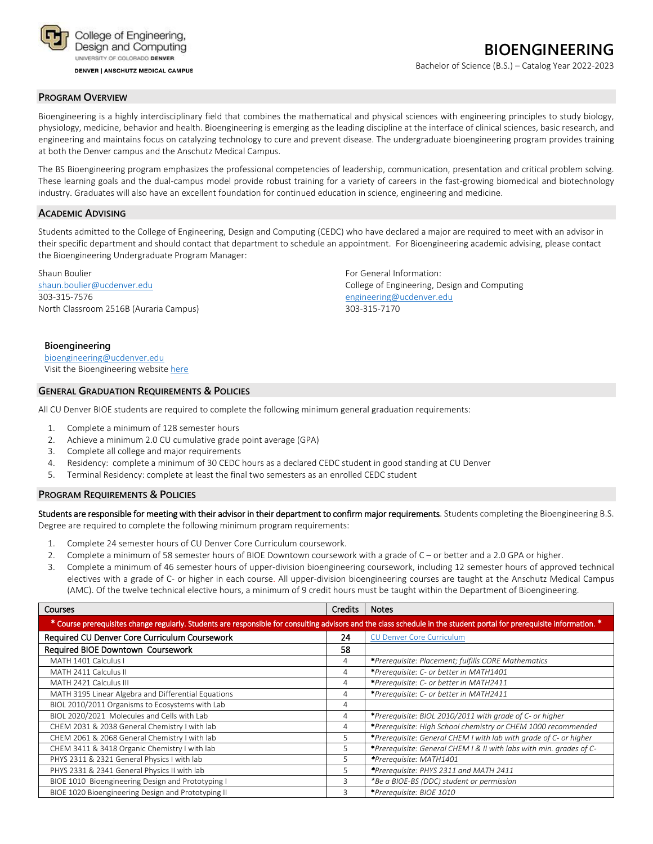

**DENVER | ANSCHUTZ MEDICAL CAMPUS** 

# **BIOENGINEERING**

Bachelor of Science (B.S.) – Catalog Year 2022-2023

#### **PROGRAM OVERVIEW**

Bioengineering is a highly interdisciplinary field that combines the mathematical and physical sciences with engineering principles to study biology, physiology, medicine, behavior and health. Bioengineering is emerging as the leading discipline at the interface of clinical sciences, basic research, and engineering and maintains focus on catalyzing technology to cure and prevent disease. The undergraduate bioengineering program provides training at both the Denver campus and the Anschutz Medical Campus.

The BS Bioengineering program emphasizes the professional competencies of leadership, communication, presentation and critical problem solving. These learning goals and the dual-campus model provide robust training for a variety of careers in the fast-growing biomedical and biotechnology industry. Graduates will also have an excellent foundation for continued education in science, engineering and medicine.

#### **ACADEMIC ADVISING**

Students admitted to the College of Engineering, Design and Computing (CEDC) who have declared a major are required to meet with an advisor in their specific department and should contact that department to schedule an appointment. For Bioengineering academic advising, please contact the Bioengineering Undergraduate Program Manager:

Shaun Boulier **Shaun Boulier** Shaun Boulier Shaun Boulier Shaun Boulier College of Engineering, D.<br>Shaun.boulier@ucdenver.edu 303-315-7576 [engineering@ucdenver.edu](mailto:engineering@ucdenver.edu) North Classroom 2516B (Auraria Campus) 303-315-7170

College of Engineering, Design and Computing

#### **Bioengineering** [bioengineering@ucdenver.edu](mailto:bioengineering@ucdenver.edu)

Visit the Bioengineering websit[e here](http://www.ucdenver.edu/academics/colleges/Engineering/Programs/bioengineering/UndergraduateProgram/Pages/undergraduateHome.aspx)

#### **GENERAL GRADUATION REQUIREMENTS & POLICIES**

All CU Denver BIOE students are required to complete the following minimum general graduation requirements:

- 1. Complete a minimum of 128 semester hours
- 2. Achieve a minimum 2.0 CU cumulative grade point average (GPA)
- 3. Complete all college and major requirements
- 4. Residency: complete a minimum of 30 CEDC hours as a declared CEDC student in good standing at CU Denver
- 5. Terminal Residency: complete at least the final two semesters as an enrolled CEDC student

#### **PROGRAM REQUIREMENTS & POLICIES**

Students are responsible for meeting with their advisor in their department to confirm major requirements. Students completing the Bioengineering B.S. Degree are required to complete the following minimum program requirements:

- 1. Complete 24 semester hours of CU Denver Core Curriculum coursework.
- 2. Complete a minimum of 58 semester hours of BIOE Downtown coursework with a grade of C or better and a 2.0 GPA or higher.
- 3. Complete a minimum of 46 semester hours of upper-division bioengineering coursework, including 12 semester hours of approved technical electives with a grade of C- or higher in each course. All upper-division bioengineering courses are taught at the Anschutz Medical Campus (AMC). Of the twelve technical elective hours, a minimum of 9 credit hours must be taught within the Department of Bioengineering.

| <b>Courses</b>                                      | <b>Credits</b> | <b>Notes</b>                                                                                                                                                           |
|-----------------------------------------------------|----------------|------------------------------------------------------------------------------------------------------------------------------------------------------------------------|
|                                                     |                | * Course prerequisites change regularly. Students are responsible for consulting advisors and the class schedule in the student portal for prerequisite information. * |
| Required CU Denver Core Curriculum Coursework       | 24             | <b>CU Denver Core Curriculum</b>                                                                                                                                       |
| Required BIOE Downtown Coursework                   | 58             |                                                                                                                                                                        |
| MATH 1401 Calculus I                                | 4              | *Prerequisite: Placement; fulfills CORE Mathematics                                                                                                                    |
| MATH 2411 Calculus II                               | 4              | *Prerequisite: C- or better in MATH1401                                                                                                                                |
| MATH 2421 Calculus III                              | 4              | *Prerequisite: C- or better in MATH2411                                                                                                                                |
| MATH 3195 Linear Algebra and Differential Equations | 4              | *Prerequisite: C- or better in MATH2411                                                                                                                                |
| BIOL 2010/2011 Organisms to Ecosystems with Lab     | 4              |                                                                                                                                                                        |
| BIOL 2020/2021 Molecules and Cells with Lab         | 4              | *Prerequisite: BIOL 2010/2011 with grade of C- or higher                                                                                                               |
| CHEM 2031 & 2038 General Chemistry I with lab       | 4              | *Prerequisite: High School chemistry or CHEM 1000 recommended                                                                                                          |
| CHEM 2061 & 2068 General Chemistry I with lab       | 5              | *Prerequisite: General CHEM I with lab with grade of C- or higher                                                                                                      |
| CHEM 3411 & 3418 Organic Chemistry I with lab       | 5              | *Prerequisite: General CHEM I & II with labs with min. grades of C-                                                                                                    |
| PHYS 2311 & 2321 General Physics I with lab         | 5              | *Prerequisite: MATH1401                                                                                                                                                |
| PHYS 2331 & 2341 General Physics II with lab        | 5              | *Prerequisite: PHYS 2311 and MATH 2411                                                                                                                                 |
| BIOE 1010 Bioengineering Design and Prototyping I   | 3              | *Be a BIOE-BS (DDC) student or permission                                                                                                                              |
| BIOE 1020 Bioengineering Design and Prototyping II  | 3              | *Prerequisite: BIOE 1010                                                                                                                                               |